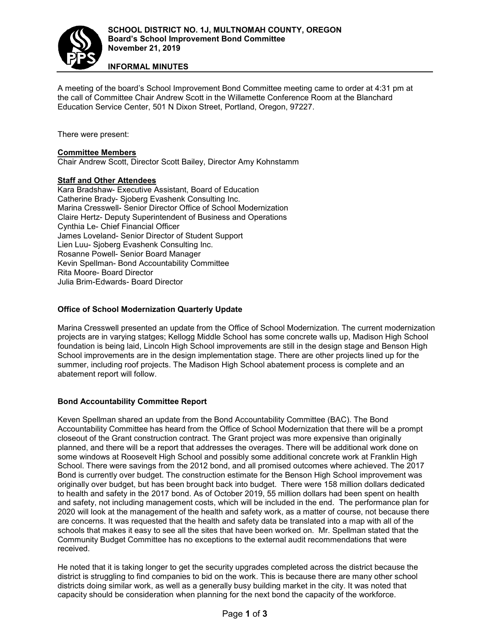

**INFORMAL MINUTES**

A meeting of the board's School Improvement Bond Committee meeting came to order at 4:31 pm at the call of Committee Chair Andrew Scott in the Willamette Conference Room at the Blanchard Education Service Center, 501 N Dixon Street, Portland, Oregon, 97227.

There were present:

#### **Committee Members**

Chair Andrew Scott, Director Scott Bailey, Director Amy Kohnstamm

#### **Staff and Other Attendees**

Kara Bradshaw- Executive Assistant, Board of Education Catherine Brady- Sjoberg Evashenk Consulting Inc. Marina Cresswell- Senior Director Office of School Modernization Claire Hertz- Deputy Superintendent of Business and Operations Cynthia Le- Chief Financial Officer James Loveland- Senior Director of Student Support Lien Luu- Sjoberg Evashenk Consulting Inc. Rosanne Powell- Senior Board Manager Kevin Spellman- Bond Accountability Committee Rita Moore- Board Director Julia Brim-Edwards- Board Director

## **Office of School Modernization Quarterly Update**

Marina Cresswell presented an update from the Office of School Modernization. The current modernization projects are in varying statges; Kellogg Middle School has some concrete walls up, Madison High School foundation is being laid, Lincoln High School improvements are still in the design stage and Benson High School improvements are in the design implementation stage. There are other projects lined up for the summer, including roof projects. The Madison High School abatement process is complete and an abatement report will follow.

#### **Bond Accountability Committee Report**

Keven Spellman shared an update from the Bond Accountability Committee (BAC). The Bond Accountability Committee has heard from the Office of School Modernization that there will be a prompt closeout of the Grant construction contract. The Grant project was more expensive than originally planned, and there will be a report that addresses the overages. There will be additional work done on some windows at Roosevelt High School and possibly some additional concrete work at Franklin High School. There were savings from the 2012 bond, and all promised outcomes where achieved. The 2017 Bond is currently over budget. The construction estimate for the Benson High School improvement was originally over budget, but has been brought back into budget. There were 158 million dollars dedicated to health and safety in the 2017 bond. As of October 2019, 55 million dollars had been spent on health and safety, not including management costs, which will be included in the end. The performance plan for 2020 will look at the management of the health and safety work, as a matter of course, not because there are concerns. It was requested that the health and safety data be translated into a map with all of the schools that makes it easy to see all the sites that have been worked on. Mr. Spellman stated that the Community Budget Committee has no exceptions to the external audit recommendations that were received.

He noted that it is taking longer to get the security upgrades completed across the district because the district is struggling to find companies to bid on the work. This is because there are many other school districts doing similar work, as well as a generally busy building market in the city. It was noted that capacity should be consideration when planning for the next bond the capacity of the workforce.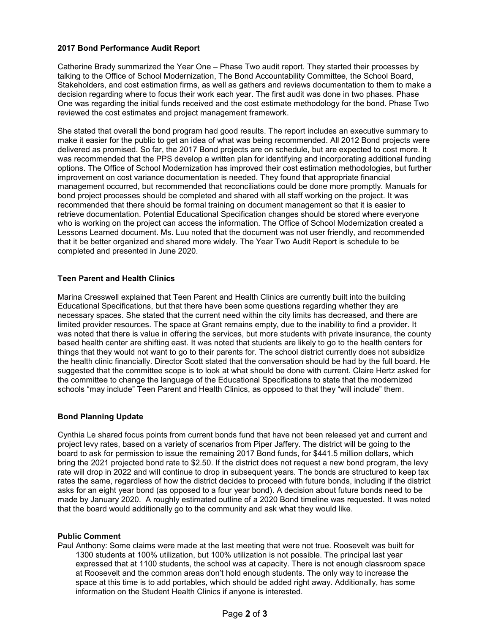## **2017 Bond Performance Audit Report**

Catherine Brady summarized the Year One – Phase Two audit report. They started their processes by talking to the Office of School Modernization, The Bond Accountability Committee, the School Board, Stakeholders, and cost estimation firms, as well as gathers and reviews documentation to them to make a decision regarding where to focus their work each year. The first audit was done in two phases. Phase One was regarding the initial funds received and the cost estimate methodology for the bond. Phase Two reviewed the cost estimates and project management framework.

She stated that overall the bond program had good results. The report includes an executive summary to make it easier for the public to get an idea of what was being recommended. All 2012 Bond projects were delivered as promised. So far, the 2017 Bond projects are on schedule, but are expected to cost more. It was recommended that the PPS develop a written plan for identifying and incorporating additional funding options. The Office of School Modernization has improved their cost estimation methodologies, but further improvement on cost variance documentation is needed. They found that appropriate financial management occurred, but recommended that reconciliations could be done more promptly. Manuals for bond project processes should be completed and shared with all staff working on the project. It was recommended that there should be formal training on document management so that it is easier to retrieve documentation. Potential Educational Specification changes should be stored where everyone who is working on the project can access the information. The Office of School Modernization created a Lessons Learned document. Ms. Luu noted that the document was not user friendly, and recommended that it be better organized and shared more widely. The Year Two Audit Report is schedule to be completed and presented in June 2020.

# **Teen Parent and Health Clinics**

Marina Cresswell explained that Teen Parent and Health Clinics are currently built into the building Educational Specifications, but that there have been some questions regarding whether they are necessary spaces. She stated that the current need within the city limits has decreased, and there are limited provider resources. The space at Grant remains empty, due to the inability to find a provider. It was noted that there is value in offering the services, but more students with private insurance, the county based health center are shifting east. It was noted that students are likely to go to the health centers for things that they would not want to go to their parents for. The school district currently does not subsidize the health clinic financially. Director Scott stated that the conversation should be had by the full board. He suggested that the committee scope is to look at what should be done with current. Claire Hertz asked for the committee to change the language of the Educational Specifications to state that the modernized schools "may include" Teen Parent and Health Clinics, as opposed to that they "will include" them.

## **Bond Planning Update**

Cynthia Le shared focus points from current bonds fund that have not been released yet and current and project levy rates, based on a variety of scenarios from Piper Jaffery. The district will be going to the board to ask for permission to issue the remaining 2017 Bond funds, for \$441.5 million dollars, which bring the 2021 projected bond rate to \$2.50. If the district does not request a new bond program, the levy rate will drop in 2022 and will continue to drop in subsequent years. The bonds are structured to keep tax rates the same, regardless of how the district decides to proceed with future bonds, including if the district asks for an eight year bond (as opposed to a four year bond). A decision about future bonds need to be made by January 2020. A roughly estimated outline of a 2020 Bond timeline was requested. It was noted that the board would additionally go to the community and ask what they would like.

## **Public Comment**

Paul Anthony: Some claims were made at the last meeting that were not true. Roosevelt was built for 1300 students at 100% utilization, but 100% utilization is not possible. The principal last year expressed that at 1100 students, the school was at capacity. There is not enough classroom space at Roosevelt and the common areas don't hold enough students. The only way to increase the space at this time is to add portables, which should be added right away. Additionally, has some information on the Student Health Clinics if anyone is interested.